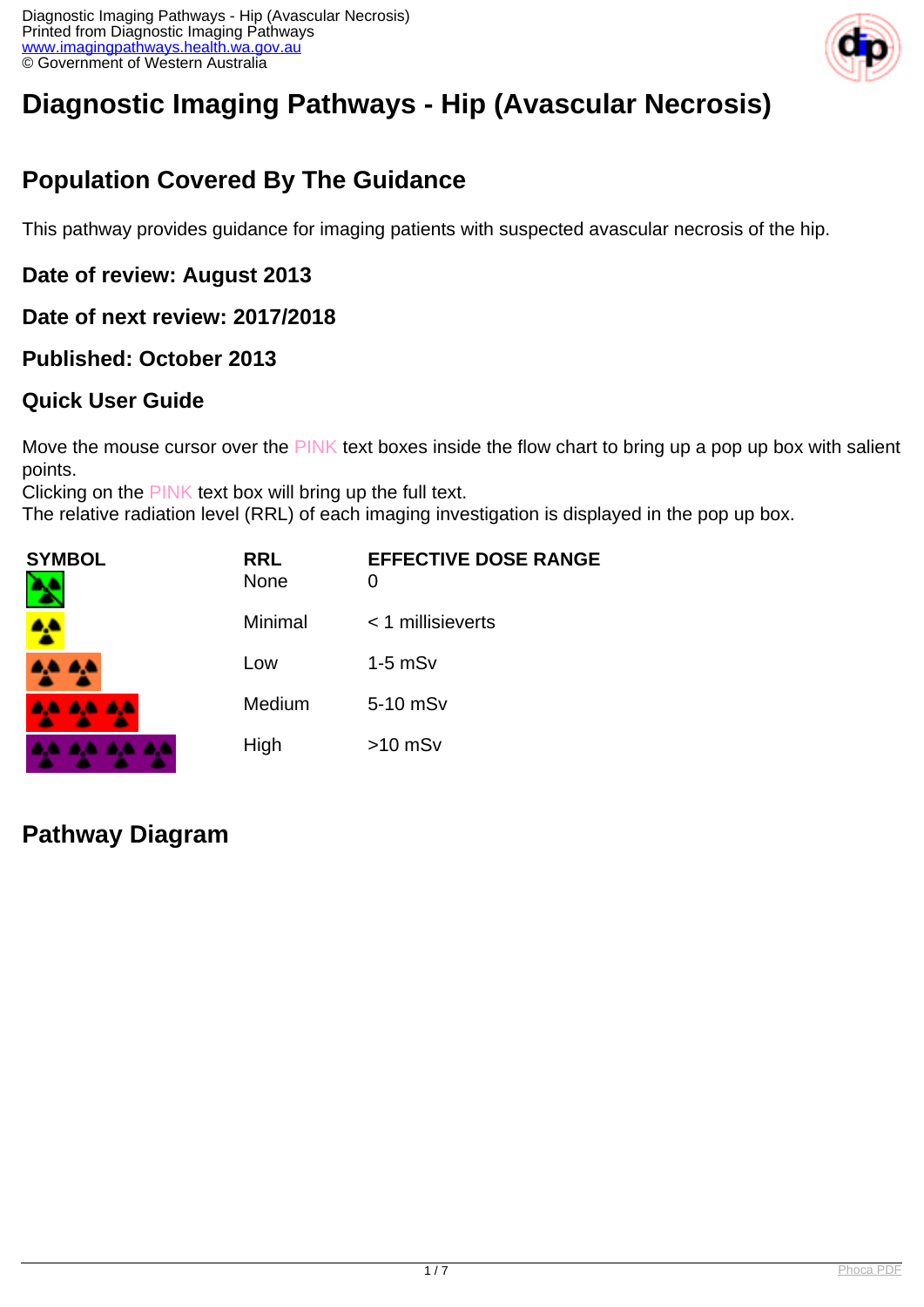

# **Diagnostic Imaging Pathways - Hip (Avascular Necrosis)**

# **Population Covered By The Guidance**

This pathway provides guidance for imaging patients with suspected avascular necrosis of the hip.

**Date of review: August 2013**

**Date of next review: 2017/2018**

**Published: October 2013**

#### **Quick User Guide**

Move the mouse cursor over the PINK text boxes inside the flow chart to bring up a pop up box with salient points.

Clicking on the PINK text box will bring up the full text.

The relative radiation level (RRL) of each imaging investigation is displayed in the pop up box.

| SYMBOL          | <b>RRL</b><br><b>None</b> | <b>EFFECTIVE DOSE RANGE</b><br>0 |
|-----------------|---------------------------|----------------------------------|
|                 | Minimal                   | < 1 millisieverts                |
| <b>AA AA</b>    | Low                       | $1-5$ mS $v$                     |
| <b>AA AA AA</b> | Medium                    | 5-10 mSv                         |
|                 | High                      | $>10$ mSv                        |

### **Pathway Diagram**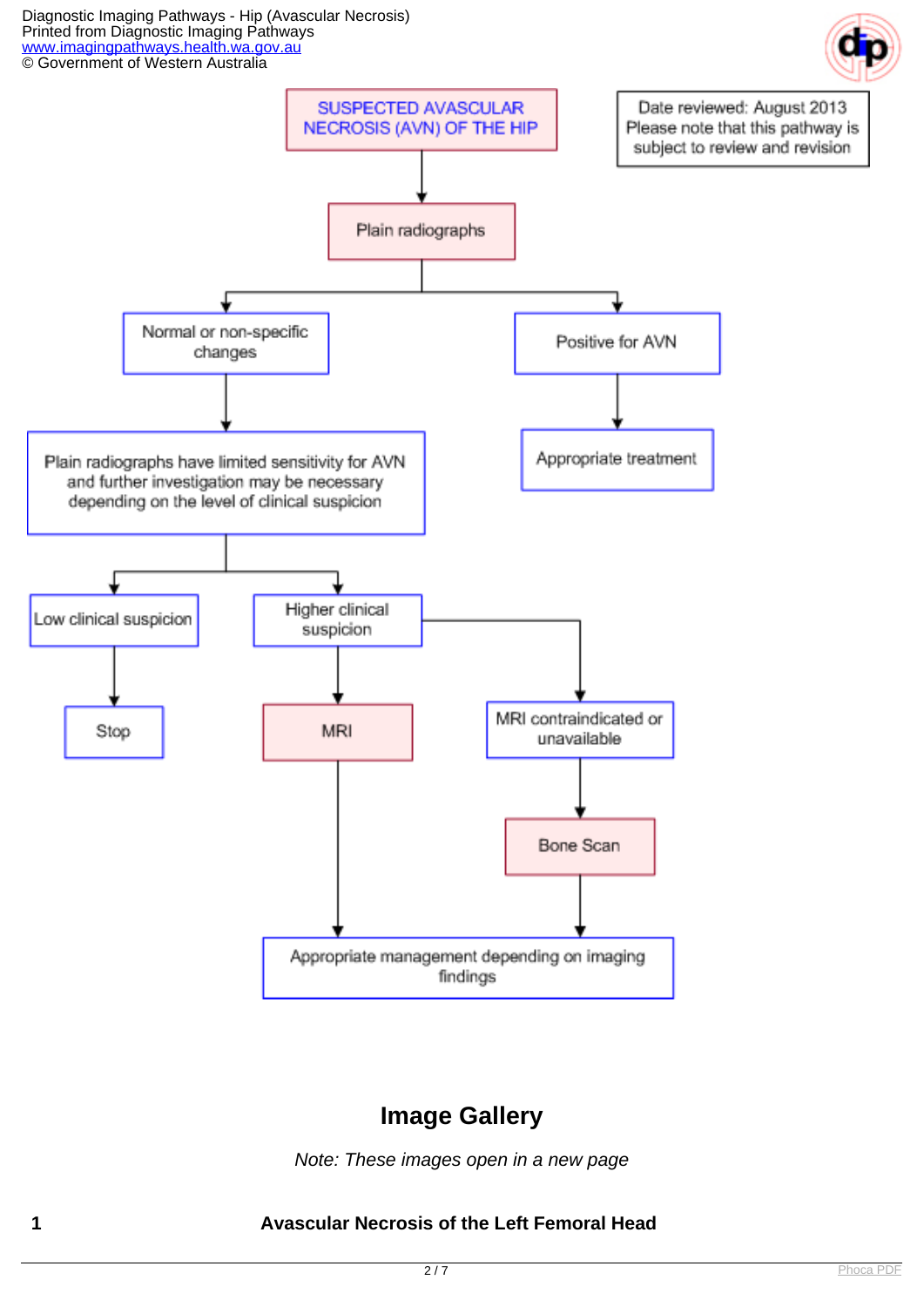Diagnostic Imaging Pathways - Hip (Avascular Necrosis) Printed from Diagnostic Imaging Pathways [www.imagingpathways.health.wa.gov.au](http://www.imagingpathways.health.wa.gov.au/) © Government of Western Australia





### **Image Gallery**

Note: These images open in a new page

#### **1 Avascular Necrosis of the Left Femoral Head**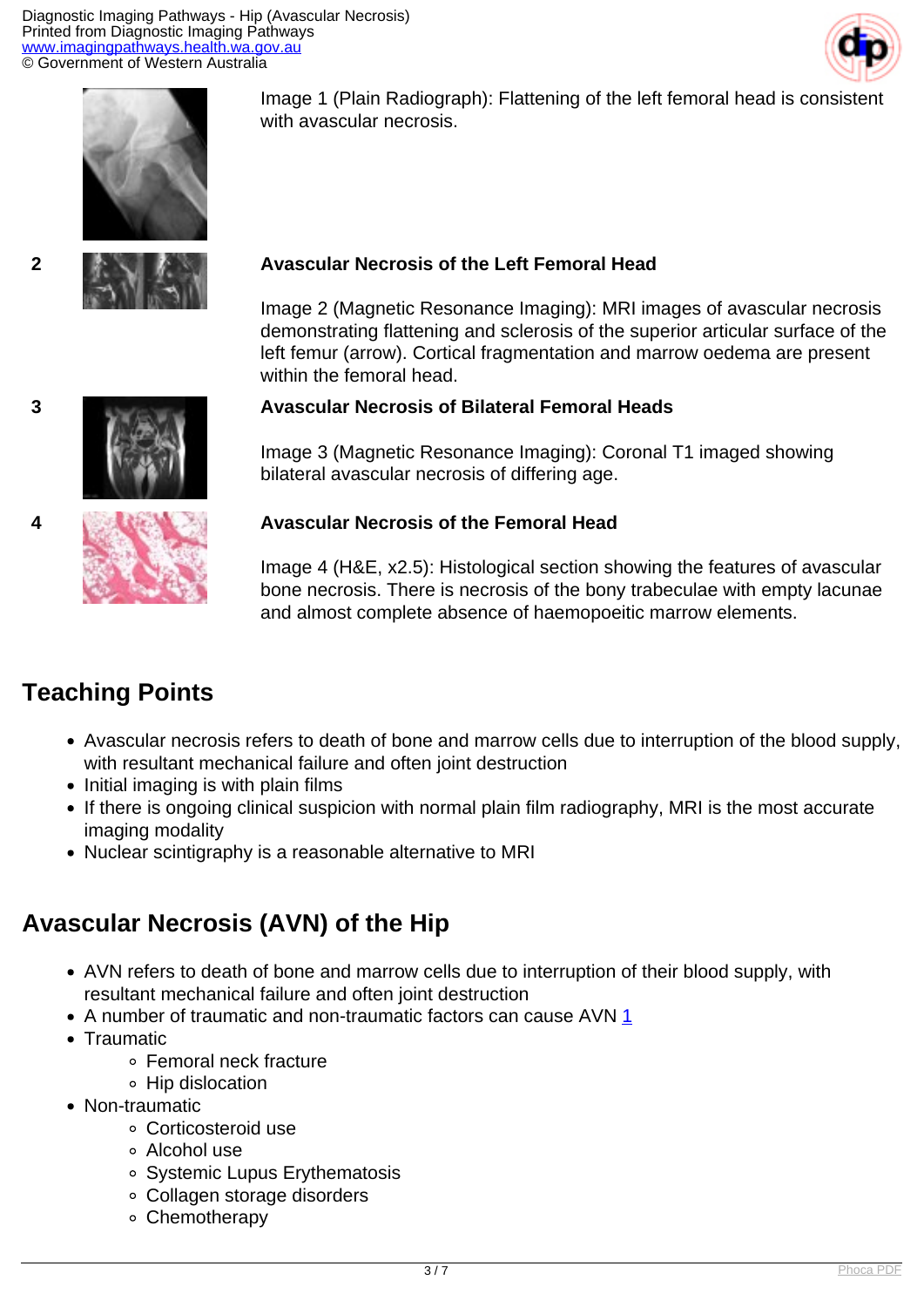Diagnostic Imaging Pathways - Hip (Avascular Necrosis) Printed from Diagnostic Imaging Pathways [www.imagingpathways.health.wa.gov.au](http://www.imagingpathways.health.wa.gov.au/) © Government of Western Australia





Image 1 (Plain Radiograph): Flattening of the left femoral head is consistent with avascular necrosis.



# **2 Avascular Necrosis of the Left Femoral Head**

Image 2 (Magnetic Resonance Imaging): MRI images of avascular necrosis demonstrating flattening and sclerosis of the superior articular surface of the left femur (arrow). Cortical fragmentation and marrow oedema are present within the femoral head.

#### **3 Avascular Necrosis of Bilateral Femoral Heads**

Image 3 (Magnetic Resonance Imaging): Coronal T1 imaged showing bilateral avascular necrosis of differing age.



#### **4 Avascular Necrosis of the Femoral Head**

Image 4 (H&E, x2.5): Histological section showing the features of avascular bone necrosis. There is necrosis of the bony trabeculae with empty lacunae and almost complete absence of haemopoeitic marrow elements.

# **Teaching Points**

- Avascular necrosis refers to death of bone and marrow cells due to interruption of the blood supply, with resultant mechanical failure and often joint destruction
- Initial imaging is with plain films
- If there is ongoing clinical suspicion with normal plain film radiography, MRI is the most accurate imaging modality
- Nuclear scintigraphy is a reasonable alternative to MRI

# **Avascular Necrosis (AVN) of the Hip**

- AVN refers to death of bone and marrow cells due to interruption of their blood supply, with resultant mechanical failure and often joint destruction
- A number of traumatic and non-traumatic factors can cause AVN [1](index.php/imaging-pathways/musculoskeletal-trauma/musculoskeletal/avascular-necrosis-of-the-hip?tab=references#1)
- Traumatic
	- Femoral neck fracture
	- Hip dislocation
- Non-traumatic
	- Corticosteroid use
	- Alcohol use
	- Systemic Lupus Erythematosis
	- Collagen storage disorders
	- Chemotherapy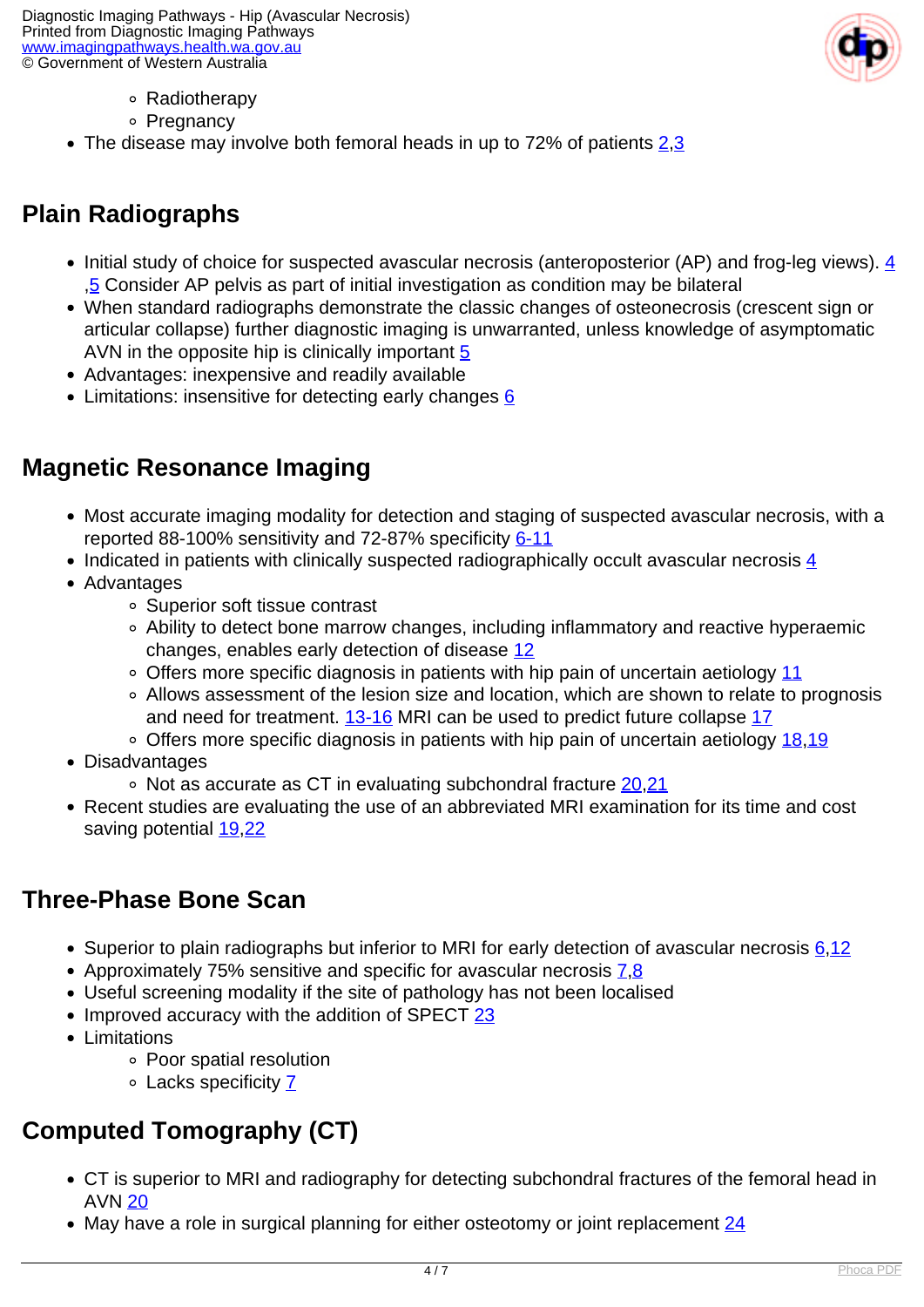Diagnostic Imaging Pathways - Hip (Avascular Necrosis) Printed from Diagnostic Imaging Pathways [www.imagingpathways.health.wa.gov.au](http://www.imagingpathways.health.wa.gov.au/) © Government of Western Australia



- Radiotherapy
- ∘ Pregnancy
- The disease may involve both femoral heads in up to 72% of patients  $2,3$  $2,3$

# **Plain Radiographs**

- Initial study of choice for suspected avascular necrosis (anteroposterior (AP) and frog-leg views).  $\frac{4}{3}$ ,[5](index.php/imaging-pathways/musculoskeletal-trauma/musculoskeletal/avascular-necrosis-of-the-hip?tab=references#5) Consider AP pelvis as part of initial investigation as condition may be bilateral
- When standard radiographs demonstrate the classic changes of osteonecrosis (crescent sign or articular collapse) further diagnostic imaging is unwarranted, unless knowledge of asymptomatic AVN in the opposite hip is clinically important  $5$
- Advantages: inexpensive and readily available
- Limitations: insensitive for detecting early changes [6](index.php/imaging-pathways/musculoskeletal-trauma/musculoskeletal/avascular-necrosis-of-the-hip?tab=references#6)

### **Magnetic Resonance Imaging**

- Most accurate imaging modality for detection and staging of suspected avascular necrosis, with a reported 88-100% sensitivity and 72-87% specificity [6-11](index.php/imaging-pathways/musculoskeletal-trauma/musculoskeletal/avascular-necrosis-of-the-hip?tab=references#6)
- Indicated in patients with clinically suspected radiographically occult avascular necrosis [4](index.php/imaging-pathways/musculoskeletal-trauma/musculoskeletal/avascular-necrosis-of-the-hip?tab=references#4)
- Advantages
	- Superior soft tissue contrast
	- Ability to detect bone marrow changes, including inflammatory and reactive hyperaemic changes, enables early detection of disease [12](index.php/imaging-pathways/musculoskeletal-trauma/musculoskeletal/avascular-necrosis-of-the-hip?tab=references#12)
	- Offers more specific diagnosis in patients with hip pain of uncertain aetiology [11](index.php/imaging-pathways/musculoskeletal-trauma/musculoskeletal/avascular-necrosis-of-the-hip?tab=references#11)
	- Allows assessment of the lesion size and location, which are shown to relate to prognosis and need for treatment. [13-16](index.php/imaging-pathways/musculoskeletal-trauma/musculoskeletal/avascular-necrosis-of-the-hip?tab=references#13) MRI can be used to predict future collapse [17](index.php/imaging-pathways/musculoskeletal-trauma/musculoskeletal/avascular-necrosis-of-the-hip?tab=references#17)
	- Offers more specific diagnosis in patients with hip pain of uncertain aetiology [18](index.php/imaging-pathways/musculoskeletal-trauma/musculoskeletal/avascular-necrosis-of-the-hip?tab=references#18)[,19](index.php/imaging-pathways/musculoskeletal-trauma/musculoskeletal/avascular-necrosis-of-the-hip?tab=references#19)
- Disadvantages
	- Not as accurate as CT in evaluating subchondral fracture [20,](index.php/imaging-pathways/musculoskeletal-trauma/musculoskeletal/avascular-necrosis-of-the-hip?tab=references#20)[21](index.php/imaging-pathways/musculoskeletal-trauma/musculoskeletal/avascular-necrosis-of-the-hip?tab=references#21)
- Recent studies are evaluating the use of an abbreviated MRI examination for its time and cost saving potential [19](index.php/imaging-pathways/musculoskeletal-trauma/musculoskeletal/avascular-necrosis-of-the-hip?tab=references#19),[22](index.php/imaging-pathways/musculoskeletal-trauma/musculoskeletal/avascular-necrosis-of-the-hip?tab=references#22)

### **Three-Phase Bone Scan**

- Superior to plain radiographs but inferior to MRI for early detection of avascular necrosis 6.[12](index.php/imaging-pathways/musculoskeletal-trauma/musculoskeletal/avascular-necrosis-of-the-hip?tab=references#12)
- Approximately [7](index.php/imaging-pathways/musculoskeletal-trauma/musculoskeletal/avascular-necrosis-of-the-hip?tab=references#7)5% sensitive and specific for avascular necrosis 7.[8](index.php/imaging-pathways/musculoskeletal-trauma/musculoskeletal/avascular-necrosis-of-the-hip?tab=references#8)
- Useful screening modality if the site of pathology has not been localised
- Improved accuracy with the addition of SPECT [23](index.php/imaging-pathways/musculoskeletal-trauma/musculoskeletal/avascular-necrosis-of-the-hip?tab=references#23)
- Limitations
	- Poor spatial resolution
	- Lacks specificity [7](index.php/imaging-pathways/musculoskeletal-trauma/musculoskeletal/avascular-necrosis-of-the-hip?tab=references#7)

# **Computed Tomography (CT)**

- CT is superior to MRI and radiography for detecting subchondral fractures of the femoral head in AVN [20](index.php/imaging-pathways/musculoskeletal-trauma/musculoskeletal/avascular-necrosis-of-the-hip?tab=references#20)
- May have a role in surgical planning for either osteotomy or joint replacement  $\frac{24}{1}$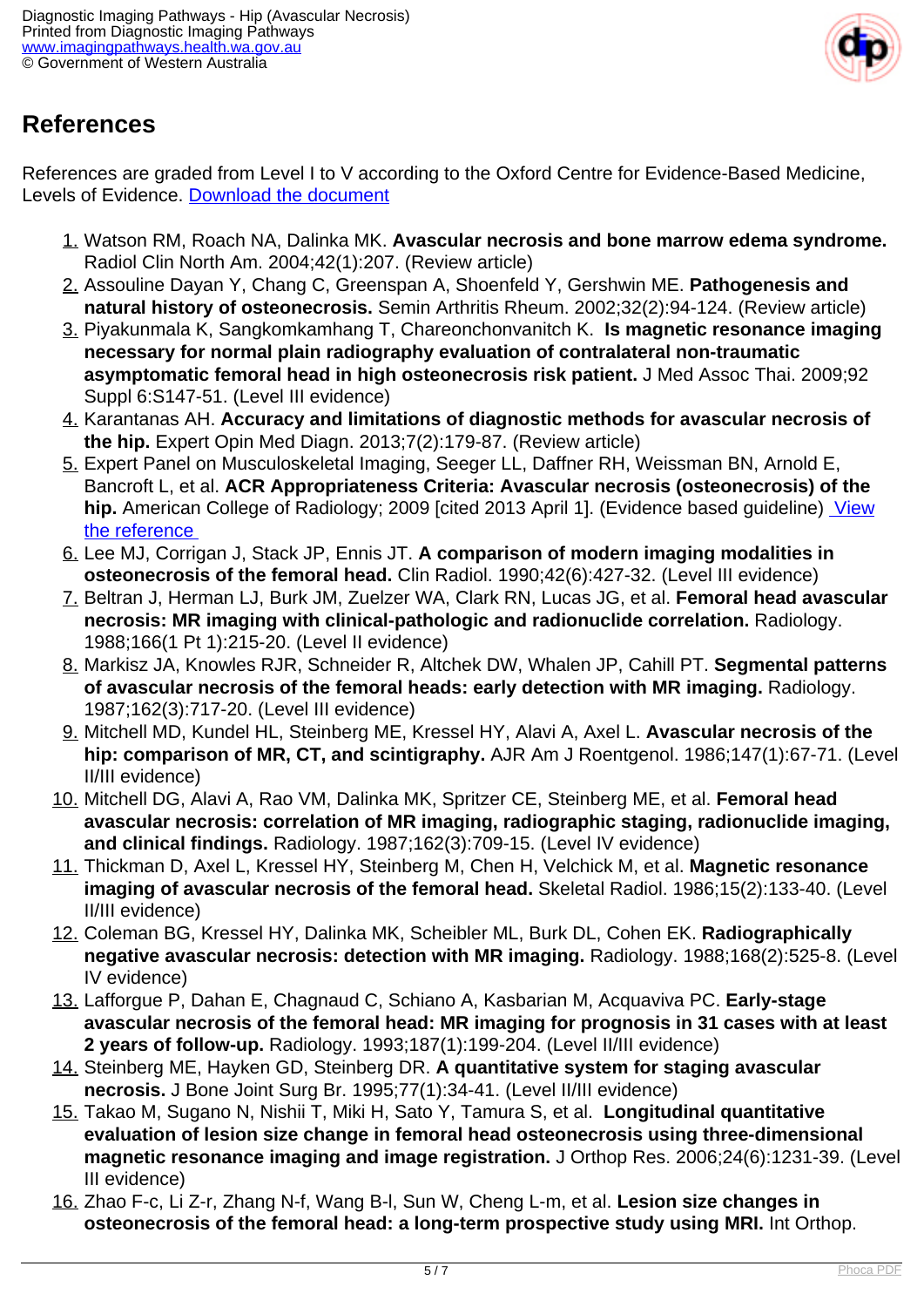

### **References**

References are graded from Level I to V according to the Oxford Centre for Evidence-Based Medicine, Levels of Evidence. [Download the document](http://www.cebm.net/wp-content/uploads/2014/06/CEBM-Levels-of-Evidence-2.1.pdf)

- 1. Watson RM, Roach NA, Dalinka MK. **Avascular necrosis and bone marrow edema syndrome.** Radiol Clin North Am. 2004;42(1):207. (Review article)
- 2. Assouline Dayan Y, Chang C, Greenspan A, Shoenfeld Y, Gershwin ME. **Pathogenesis and natural history of osteonecrosis.** Semin Arthritis Rheum. 2002;32(2):94-124. (Review article)
- 3. Piyakunmala K, Sangkomkamhang T, Chareonchonvanitch K. **Is magnetic resonance imaging necessary for normal plain radiography evaluation of contralateral non-traumatic asymptomatic femoral head in high osteonecrosis risk patient.** J Med Assoc Thai. 2009;92 Suppl 6:S147-51. (Level III evidence)
- 4. Karantanas AH. **Accuracy and limitations of diagnostic methods for avascular necrosis of the hip.** Expert Opin Med Diagn. 2013;7(2):179-87. (Review article)
- 5. Expert Panel on Musculoskeletal Imaging, Seeger LL, Daffner RH, Weissman BN, Arnold E, Bancroft L, et al. **ACR Appropriateness Criteria: Avascular necrosis (osteonecrosis) of the hip.** American College of Radiology; 2009 [cited 2013 April 1]. (Evidence based guideline) [View](http://www.guideline.gov/content.aspx?id=15734) [the reference](http://www.guideline.gov/content.aspx?id=15734)
- 6. Lee MJ, Corrigan J, Stack JP, Ennis JT. **A comparison of modern imaging modalities in osteonecrosis of the femoral head.** Clin Radiol. 1990;42(6):427-32. (Level III evidence)
- 7. Beltran J, Herman LJ, Burk JM, Zuelzer WA, Clark RN, Lucas JG, et al. **Femoral head avascular necrosis: MR imaging with clinical-pathologic and radionuclide correlation.** Radiology. 1988;166(1 Pt 1):215-20. (Level II evidence)
- 8. Markisz JA, Knowles RJR, Schneider R, Altchek DW, Whalen JP, Cahill PT. **Segmental patterns of avascular necrosis of the femoral heads: early detection with MR imaging.** Radiology. 1987;162(3):717-20. (Level III evidence)
- 9. Mitchell MD, Kundel HL, Steinberg ME, Kressel HY, Alavi A, Axel L. **Avascular necrosis of the hip: comparison of MR, CT, and scintigraphy.** AJR Am J Roentgenol. 1986;147(1):67-71. (Level II/III evidence)
- 10. Mitchell DG, Alavi A, Rao VM, Dalinka MK, Spritzer CE, Steinberg ME, et al. **Femoral head avascular necrosis: correlation of MR imaging, radiographic staging, radionuclide imaging, and clinical findings.** Radiology. 1987;162(3):709-15. (Level IV evidence)
- 11. Thickman D, Axel L, Kressel HY, Steinberg M, Chen H, Velchick M, et al. **Magnetic resonance imaging of avascular necrosis of the femoral head.** Skeletal Radiol. 1986;15(2):133-40. (Level II/III evidence)
- 12. Coleman BG, Kressel HY, Dalinka MK, Scheibler ML, Burk DL, Cohen EK. **Radiographically negative avascular necrosis: detection with MR imaging.** Radiology. 1988;168(2):525-8. (Level IV evidence)
- 13. Lafforgue P, Dahan E, Chagnaud C, Schiano A, Kasbarian M, Acquaviva PC. **Early-stage avascular necrosis of the femoral head: MR imaging for prognosis in 31 cases with at least 2 years of follow-up.** Radiology. 1993;187(1):199-204. (Level II/III evidence)
- 14. Steinberg ME, Hayken GD, Steinberg DR. **A quantitative system for staging avascular necrosis.** J Bone Joint Surg Br. 1995;77(1):34-41. (Level II/III evidence)
- 15. Takao M, Sugano N, Nishii T, Miki H, Sato Y, Tamura S, et al. **Longitudinal quantitative evaluation of lesion size change in femoral head osteonecrosis using three-dimensional magnetic resonance imaging and image registration.** J Orthop Res. 2006;24(6):1231-39. (Level III evidence)
- 16. Zhao F-c, Li Z-r, Zhang N-f, Wang B-l, Sun W, Cheng L-m, et al. **Lesion size changes in osteonecrosis of the femoral head: a long-term prospective study using MRI.** Int Orthop.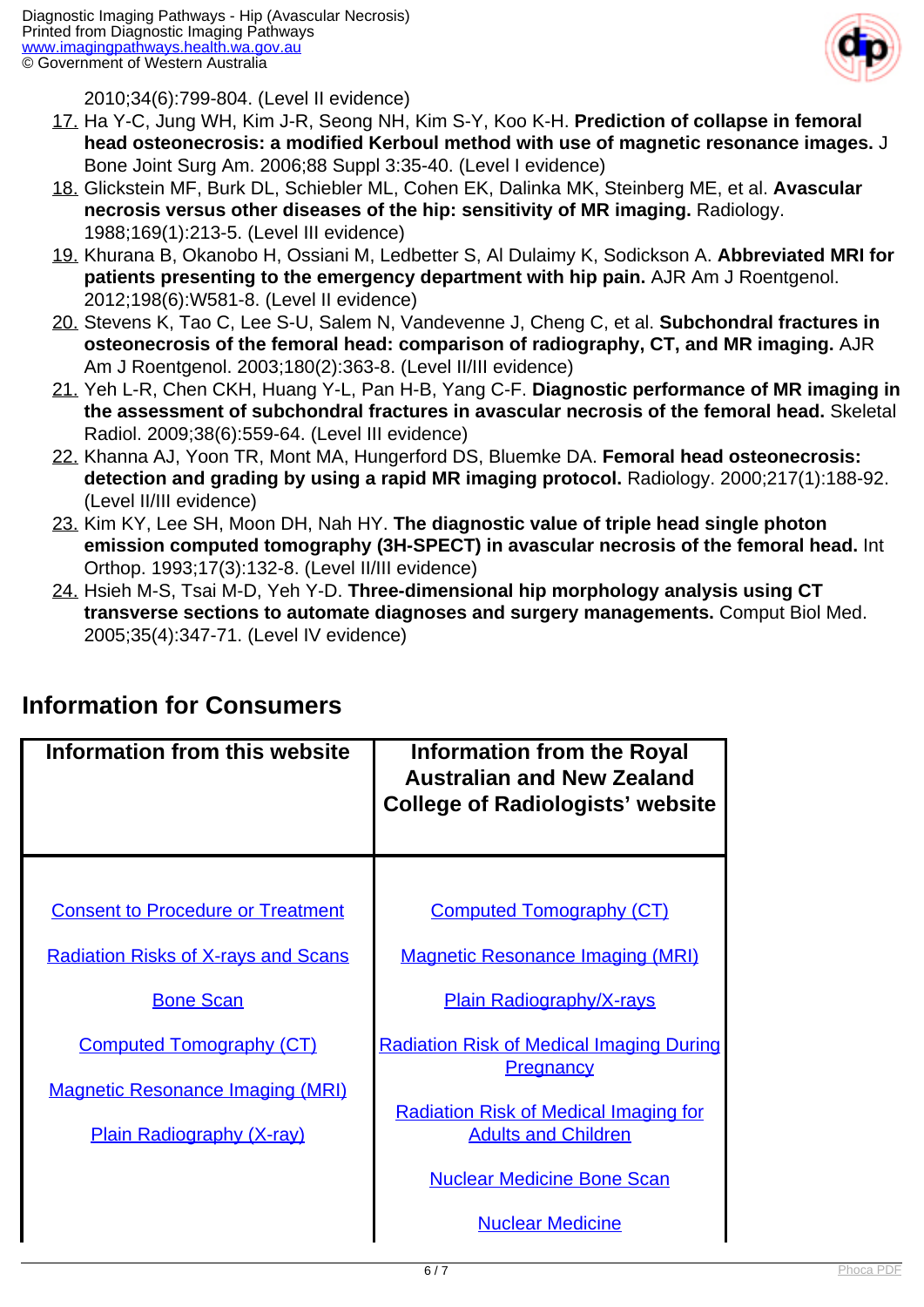

2010;34(6):799-804. (Level II evidence)

- 17. Ha Y-C, Jung WH, Kim J-R, Seong NH, Kim S-Y, Koo K-H. **Prediction of collapse in femoral head osteonecrosis: a modified Kerboul method with use of magnetic resonance images.** J Bone Joint Surg Am. 2006;88 Suppl 3:35-40. (Level I evidence)
- 18. Glickstein MF, Burk DL, Schiebler ML, Cohen EK, Dalinka MK, Steinberg ME, et al. **Avascular necrosis versus other diseases of the hip: sensitivity of MR imaging.** Radiology. 1988;169(1):213-5. (Level III evidence)
- 19. Khurana B, Okanobo H, Ossiani M, Ledbetter S, Al Dulaimy K, Sodickson A. **Abbreviated MRI for patients presenting to the emergency department with hip pain.** AJR Am J Roentgenol. 2012;198(6):W581-8. (Level II evidence)
- 20. Stevens K, Tao C, Lee S-U, Salem N, Vandevenne J, Cheng C, et al. **Subchondral fractures in osteonecrosis of the femoral head: comparison of radiography, CT, and MR imaging.** AJR Am J Roentgenol. 2003;180(2):363-8. (Level II/III evidence)
- 21. Yeh L-R, Chen CKH, Huang Y-L, Pan H-B, Yang C-F. **Diagnostic performance of MR imaging in the assessment of subchondral fractures in avascular necrosis of the femoral head.** Skeletal Radiol. 2009;38(6):559-64. (Level III evidence)
- 22. Khanna AJ, Yoon TR, Mont MA, Hungerford DS, Bluemke DA. **Femoral head osteonecrosis: detection and grading by using a rapid MR imaging protocol.** Radiology. 2000;217(1):188-92. (Level II/III evidence)
- 23. Kim KY, Lee SH, Moon DH, Nah HY. **The diagnostic value of triple head single photon emission computed tomography (3H-SPECT) in avascular necrosis of the femoral head.** Int Orthop. 1993;17(3):132-8. (Level II/III evidence)
- 24. Hsieh M-S, Tsai M-D, Yeh Y-D. **Three-dimensional hip morphology analysis using CT transverse sections to automate diagnoses and surgery managements.** Comput Biol Med. 2005;35(4):347-71. (Level IV evidence)

| Information from this website              | <b>Information from the Royal</b><br><b>Australian and New Zealand</b><br><b>College of Radiologists' website</b> |
|--------------------------------------------|-------------------------------------------------------------------------------------------------------------------|
|                                            |                                                                                                                   |
| <b>Consent to Procedure or Treatment</b>   | <b>Computed Tomography (CT)</b>                                                                                   |
| <b>Radiation Risks of X-rays and Scans</b> | <b>Magnetic Resonance Imaging (MRI)</b>                                                                           |
| <b>Bone Scan</b>                           | <b>Plain Radiography/X-rays</b>                                                                                   |
| <b>Computed Tomography (CT)</b>            | <b>Radiation Risk of Medical Imaging During</b><br><b>Pregnancy</b>                                               |
| <b>Magnetic Resonance Imaging (MRI)</b>    |                                                                                                                   |
| <b>Plain Radiography (X-ray)</b>           | <b>Radiation Risk of Medical Imaging for</b><br><b>Adults and Children</b>                                        |
|                                            | <b>Nuclear Medicine Bone Scan</b>                                                                                 |
|                                            | <b>Nuclear Medicine</b>                                                                                           |

### **Information for Consumers**